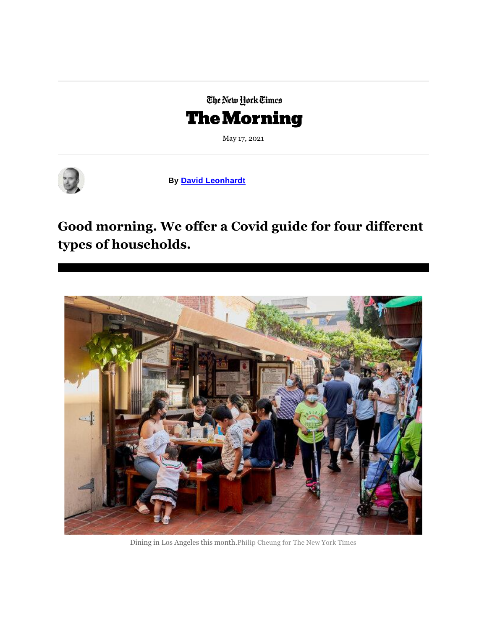## The New York Times **The Morning**

May 17, 2021



**By [David Leonhardt](https://www.nytimes.com/by/david-leonhardt?te=1&nl=the-morning&emc=edit_nn_20210517)**

### **Good morning. We offer a Covid guide for four different types of households.**



Dining in Los Angeles this month.Philip Cheung for The New York Times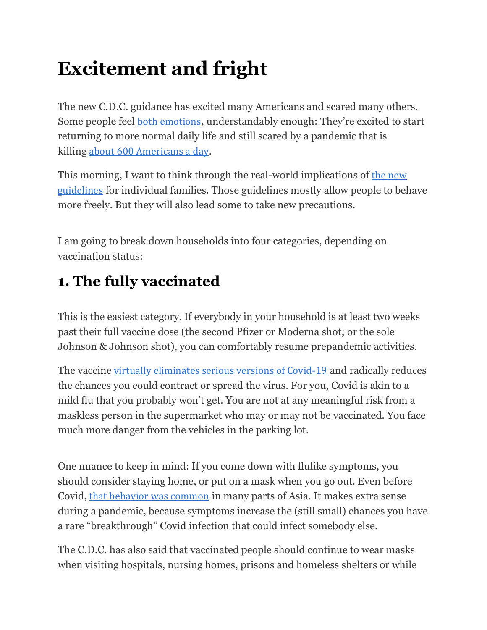# **Excitement and fright**

The new C.D.C. guidance has excited many Americans and scared many others. Some people feel [both emotions](https://www.nytimes.com/2021/05/15/us/cdc-mask-guidance-americans.html?te=1&nl=the-morning&emc=edit_nn_20210517), understandably enough: They're excited to start returning to more normal daily life and still scared by a pandemic that is killing [about 600 Americans a day](https://www.nytimes.com/interactive/2021/us/covid-cases.html?te=1&nl=the-morning&emc=edit_nn_20210517).

This morning, I want to think through the real-world implications of [the new](https://www.nytimes.com/2021/05/14/briefing/mask-guidelines-cdc-maskless.html?te=1&nl=the-morning&emc=edit_nn_20210517)  [guidelines](https://www.nytimes.com/2021/05/14/briefing/mask-guidelines-cdc-maskless.html?te=1&nl=the-morning&emc=edit_nn_20210517) for individual families. Those guidelines mostly allow people to behave more freely. But they will also lead some to take new precautions.

I am going to break down households into four categories, depending on vaccination status:

# **1. The fully vaccinated**

This is the easiest category. If everybody in your household is at least two weeks past their full vaccine dose (the second Pfizer or Moderna shot; or the sole Johnson & Johnson shot), you can comfortably resume prepandemic activities.

The vaccine [virtually eliminates serious versions of Covid-19](https://www.nytimes.com/2021/01/18/briefing/donald-trump-pardon-phil-spector-coronavirus-deaths.html?te=1&nl=the-morning&emc=edit_nn_20210517) and radically reduces the chances you could contract or spread the virus. For you, Covid is akin to a mild flu that you probably won't get. You are not at any meaningful risk from a maskless person in the supermarket who may or may not be vaccinated. You face much more danger from the vehicles in the parking lot.

One nuance to keep in mind: If you come down with flulike symptoms, you should consider staying home, or put on a mask when you go out. Even before Covid, [that behavior was common](https://www.nytimes.com/2020/06/06/world/asia/japan-coronavirus-masks.html?te=1&nl=the-morning&emc=edit_nn_20210517) in many parts of Asia. It makes extra sense during a pandemic, because symptoms increase the (still small) chances you have a rare "breakthrough" Covid infection that could infect somebody else.

The C.D.C. has also said that vaccinated people should continue to wear masks when visiting hospitals, nursing homes, prisons and homeless shelters or while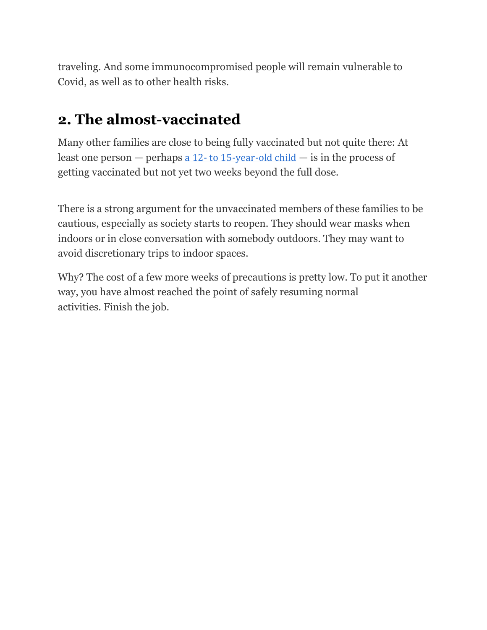traveling. And some immunocompromised people will remain vulnerable to Covid, as well as to other health risks.

### **2. The almost-vaccinated**

Many other families are close to being fully vaccinated but not quite there: At least one person  $-$  perhaps a 12- [to 15-year-old child](https://www.nytimes.com/2021/05/13/us/coronavirus-vaccine-children-ages-12-15.html?te=1&nl=the-morning&emc=edit_nn_20210517)  $-$  is in the process of getting vaccinated but not yet two weeks beyond the full dose.

There is a strong argument for the unvaccinated members of these families to be cautious, especially as society starts to reopen. They should wear masks when indoors or in close conversation with somebody outdoors. They may want to avoid discretionary trips to indoor spaces.

Why? The cost of a few more weeks of precautions is pretty low. To put it another way, you have almost reached the point of safely resuming normal activities*.* Finish the job.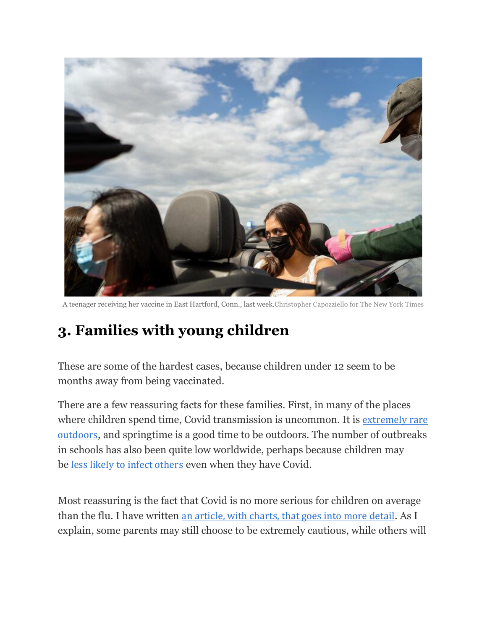

A teenager receiving her vaccine in East Hartford, Conn., last week.Christopher Capozziello for The New York Times

# **3. Families with young children**

These are some of the hardest cases, because children under 12 seem to be months away from being vaccinated.

There are a few reassuring facts for these families. First, in many of the places where children spend time, Covid transmission is uncommon. It is extremely rare [outdoors](https://www.nytimes.com/2021/05/11/briefing/outdoor-covid-transmission-cdc-number.html?te=1&nl=the-morning&emc=edit_nn_20210517), and springtime is a good time to be outdoors. The number of outbreaks in schools has also been quite low worldwide, perhaps because children may be [less likely to infect others](https://www.nature.com/articles/d41586-020-02973-3?te=1&nl=the-morning&emc=edit_nn_20210517#:~:text=Young%20children%20transmit%20less&text=%E2%80%9CThe%20potential%20to%20transmit%20increases,transmission%20is%20high%2C%20says%20Haas.) even when they have Covid.

Most reassuring is the fact that Covid is no more serious for children on average than the flu. I have written [an article, with charts, that goes into more detail](https://www.nytimes.com/2021/04/22/opinion/covid-vaccine-kids.html?te=1&nl=the-morning&emc=edit_nn_20210517). As I explain, some parents may still choose to be extremely cautious, while others will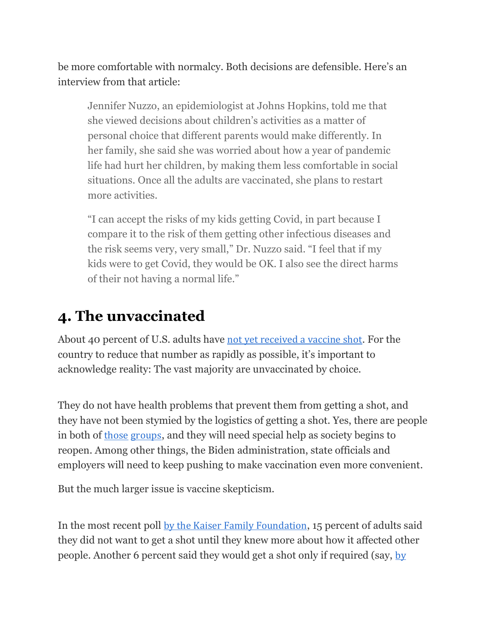be more comfortable with normalcy. Both decisions are defensible. Here's an interview from that article:

Jennifer Nuzzo, an epidemiologist at Johns Hopkins, told me that she viewed decisions about children's activities as a matter of personal choice that different parents would make differently. In her family, she said she was worried about how a year of pandemic life had hurt her children, by making them less comfortable in social situations. Once all the adults are vaccinated, she plans to restart more activities.

"I can accept the risks of my kids getting Covid, in part because I compare it to the risk of them getting other infectious diseases and the risk seems very, very small," Dr. Nuzzo said. "I feel that if my kids were to get Covid, they would be OK. I also see the direct harms of their not having a normal life."

## **4. The unvaccinated**

About 40 percent of U.S. adults have [not yet received a vaccine shot](https://www.nytimes.com/interactive/2020/us/covid-19-vaccine-doses.html?te=1&nl=the-morning&emc=edit_nn_20210517). For the country to reduce that number as rapidly as possible, it's important to acknowledge reality: The vast majority are unvaccinated by choice.

They do not have health problems that prevent them from getting a shot, and they have not been stymied by the logistics of getting a shot. Yes, there are people in both of [those](https://yalehealth.yale.edu/yale-covid-19-vaccine-program/who-should-and-shouldnt-get-covid-19-vaccine?te=1&nl=the-morning&emc=edit_nn_20210517) [groups](https://www.nytimes.com/2021/05/12/us/covid-vaccines-vulnerable.html?te=1&nl=the-morning&emc=edit_nn_20210517), and they will need special help as society begins to reopen. Among other things, the Biden administration, state officials and employers will need to keep pushing to make vaccination even more convenient.

But the much larger issue is vaccine skepticism.

In the most recent poll [by the Kaiser Family Foundation](https://files.kff.org/attachment/Topline-KFF-COVID-19-Vaccine-Monitor-April-2021.pdf?te=1&nl=the-morning&emc=edit_nn_20210517), 15 percent of adults said they did not want to get a shot until they knew more about how it affected other people. Another 6 percent said they would get a shot only if required (say, [by](https://www.nytimes.com/2021/05/15/business/dealbook/vaccines-work-requirements.html?te=1&nl=the-morning&emc=edit_nn_20210517)